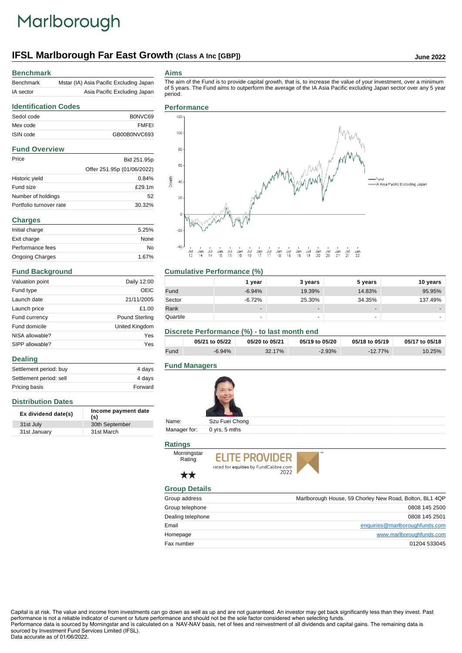## Marlborough

## **IFSL Marlborough Far East Growth (Class A Inc [GBP]) June 2022**

### **Benchmark**

| Benchmark | Mstar (IA) Asia Pacific Excluding Japan |
|-----------|-----------------------------------------|
| IA sector | Asia Pacific Excluding Japan            |

### **Aims**

The aim of the Fund is to provide capital growth, that is, to increase the value of your investment, over a minimum of 5 years. The Fund aims to outperform the average of the IA Asia Pacific excluding Japan sector over any 5 year period.

## **Identification Codes** Sedol code B0NVC69 Mex code **FMFFI** ISIN code GB00B0NVC693 **Fund Overview** Price Bid 251.95p Offer 251.95p (01/06/2022) Historic yield 0.84% Fund size  $£29.1m$ Number of holdings 52 Portfolio turnover rate 30.32% **Charges** Initial charge 5.25% Exit charge None Performance fees No Ongoing Charges 1.67%

| <b>Fund Background</b> |  |
|------------------------|--|
|------------------------|--|

**Distribution Dates**

**Dealing**

| Valuation point | Daily 12:00           |
|-----------------|-----------------------|
| Fund type       | OEIC                  |
| Launch date     | 21/11/2005            |
| Launch price    | £1.00                 |
| Fund currency   | <b>Pound Sterling</b> |
| Fund domicile   | United Kingdom        |
| NISA allowable? | Yes                   |
| SIPP allowable? | Yes                   |

Settlement period: buy 4 days Settlement period: sell 4 days Pricing basis **Forward** 

**Ex dividend date(s) Income payment date (s)**

31st July 30th September 31st January 31st March

**Performance**



### **Cumulative Performance (%)**

|          | 1 vear                   | 3 years                  | 5 years        | 10 years |
|----------|--------------------------|--------------------------|----------------|----------|
| Fund     | $-6.94%$                 | 19.39%                   | 14.83%         | 95.95%   |
| Sector   | $-6.72%$                 | 25.30%                   | 34.35%         | 137.49%  |
| Rank     | $\overline{\phantom{a}}$ | $\overline{\phantom{0}}$ | $\blacksquare$ |          |
| Quartile | ٠                        | $\overline{\phantom{0}}$ | -              | -        |

### **Discrete Performance (%) - to last month end**

|      | 05/21 to 05/22 | 05/20 to 05/21 | 05/19 to 05/20 | 05/18 to 05/19 | 05/17 to 05/18 |
|------|----------------|----------------|----------------|----------------|----------------|
| Fund | $-6.94%$       | 32.17%         | $-2.93%$       | $-12.77\%$     | 10.25%         |

### **Fund Managers**





**Ratings**

Rating



### $\star\star$ **Group Details**

| Marlborough House, 59 Chorley New Road, Bolton, BL1 4QP |
|---------------------------------------------------------|
| 0808 145 2500                                           |
| 0808 145 2501                                           |
| enquiries@marlboroughfunds.com                          |
| www.marlboroughfunds.com                                |
| 01204 533045                                            |
|                                                         |

Capital is at risk. The value and income from investments can go down as well as up and are not guaranteed. An investor may get back significantly less than they invest. Past performance is not a reliable indicator of current or future performance and should not be the sole factor considered when selecting funds. Performance data is sourced by Morningstar and is calculated on a NAV-NAV basis, net of fees and reinvestment of all dividends and capital gains. The remaining data is sourced by Investment Fund Services Limited (IFSL).

Data accurate as of 01/06/2022.